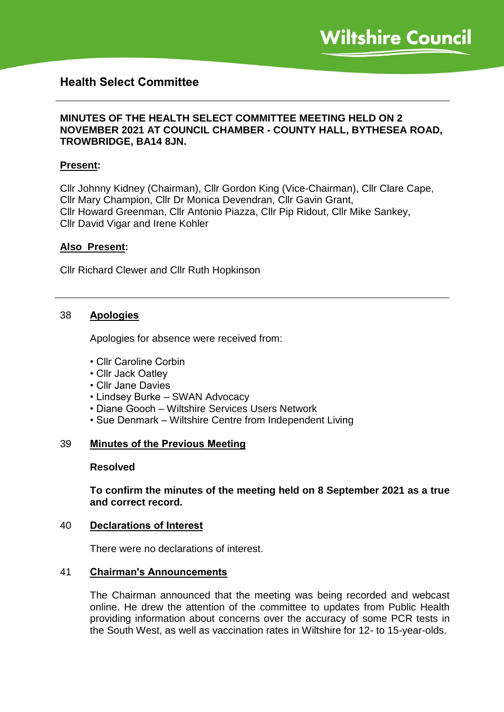# **Health Select Committee**

#### **MINUTES OF THE HEALTH SELECT COMMITTEE MEETING HELD ON 2 NOVEMBER 2021 AT COUNCIL CHAMBER - COUNTY HALL, BYTHESEA ROAD, TROWBRIDGE, BA14 8JN.**

#### **Present:**

Cllr Johnny Kidney (Chairman), Cllr Gordon King (Vice-Chairman), Cllr Clare Cape, Cllr Mary Champion, Cllr Dr Monica Devendran, Cllr Gavin Grant, Cllr Howard Greenman, Cllr Antonio Piazza, Cllr Pip Ridout, Cllr Mike Sankey, Cllr David Vigar and Irene Kohler

#### **Also Present:**

Cllr Richard Clewer and Cllr Ruth Hopkinson

#### 38 **Apologies**

Apologies for absence were received from:

- Cllr Caroline Corbin
- Cllr Jack Oatley
- Cllr Jane Davies
- Lindsey Burke SWAN Advocacy
- Diane Gooch Wiltshire Services Users Network
- Sue Denmark Wiltshire Centre from Independent Living

#### 39 **Minutes of the Previous Meeting**

#### **Resolved**

**To confirm the minutes of the meeting held on 8 September 2021 as a true and correct record.**

#### 40 **Declarations of Interest**

There were no declarations of interest.

#### 41 **Chairman's Announcements**

The Chairman announced that the meeting was being recorded and webcast online. He drew the attention of the committee to updates from Public Health providing information about concerns over the accuracy of some PCR tests in the South West, as well as vaccination rates in Wiltshire for 12- to 15-year-olds.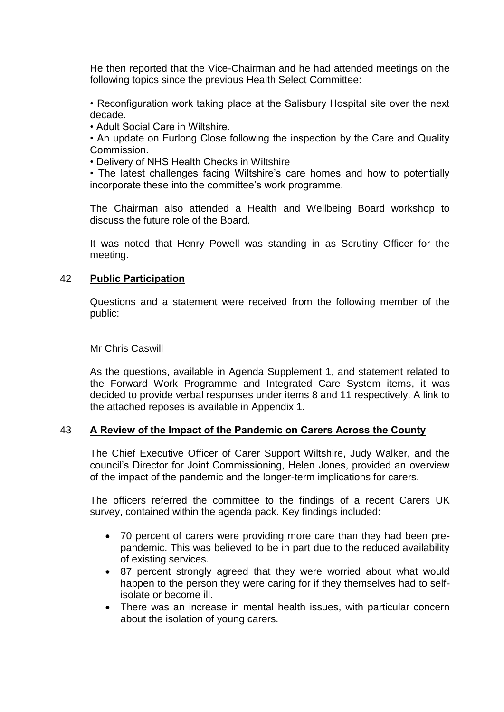He then reported that the Vice-Chairman and he had attended meetings on the following topics since the previous Health Select Committee:

• Reconfiguration work taking place at the Salisbury Hospital site over the next decade.

• Adult Social Care in Wiltshire.

• An update on Furlong Close following the inspection by the Care and Quality Commission.

• Delivery of NHS Health Checks in Wiltshire

• The latest challenges facing Wiltshire's care homes and how to potentially incorporate these into the committee's work programme.

The Chairman also attended a Health and Wellbeing Board workshop to discuss the future role of the Board.

It was noted that Henry Powell was standing in as Scrutiny Officer for the meeting.

#### 42 **Public Participation**

Questions and a statement were received from the following member of the public:

Mr Chris Caswill

As the questions, available in Agenda Supplement 1, and statement related to the Forward Work Programme and Integrated Care System items, it was decided to provide verbal responses under items 8 and 11 respectively. A link to the attached reposes is available in Appendix 1.

## 43 **A Review of the Impact of the Pandemic on Carers Across the County**

The Chief Executive Officer of Carer Support Wiltshire, Judy Walker, and the council's Director for Joint Commissioning, Helen Jones, provided an overview of the impact of the pandemic and the longer-term implications for carers.

The officers referred the committee to the findings of a recent Carers UK survey, contained within the agenda pack. Key findings included:

- 70 percent of carers were providing more care than they had been prepandemic. This was believed to be in part due to the reduced availability of existing services.
- 87 percent strongly agreed that they were worried about what would happen to the person they were caring for if they themselves had to selfisolate or become ill.
- There was an increase in mental health issues, with particular concern about the isolation of young carers.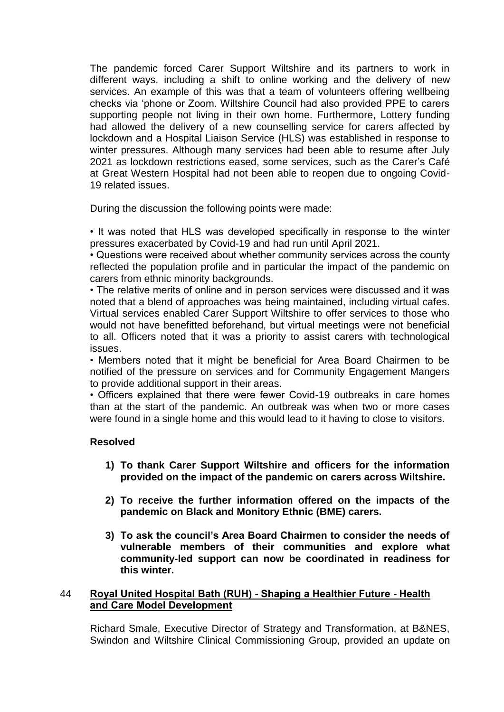The pandemic forced Carer Support Wiltshire and its partners to work in different ways, including a shift to online working and the delivery of new services. An example of this was that a team of volunteers offering wellbeing checks via 'phone or Zoom. Wiltshire Council had also provided PPE to carers supporting people not living in their own home. Furthermore, Lottery funding had allowed the delivery of a new counselling service for carers affected by lockdown and a Hospital Liaison Service (HLS) was established in response to winter pressures. Although many services had been able to resume after July 2021 as lockdown restrictions eased, some services, such as the Carer's Café at Great Western Hospital had not been able to reopen due to ongoing Covid-19 related issues.

During the discussion the following points were made:

• It was noted that HLS was developed specifically in response to the winter pressures exacerbated by Covid-19 and had run until April 2021.

• Questions were received about whether community services across the county reflected the population profile and in particular the impact of the pandemic on carers from ethnic minority backgrounds.

• The relative merits of online and in person services were discussed and it was noted that a blend of approaches was being maintained, including virtual cafes. Virtual services enabled Carer Support Wiltshire to offer services to those who would not have benefitted beforehand, but virtual meetings were not beneficial to all. Officers noted that it was a priority to assist carers with technological issues.

• Members noted that it might be beneficial for Area Board Chairmen to be notified of the pressure on services and for Community Engagement Mangers to provide additional support in their areas.

• Officers explained that there were fewer Covid-19 outbreaks in care homes than at the start of the pandemic. An outbreak was when two or more cases were found in a single home and this would lead to it having to close to visitors.

## **Resolved**

- **1) To thank Carer Support Wiltshire and officers for the information provided on the impact of the pandemic on carers across Wiltshire.**
- **2) To receive the further information offered on the impacts of the pandemic on Black and Monitory Ethnic (BME) carers.**
- **3) To ask the council's Area Board Chairmen to consider the needs of vulnerable members of their communities and explore what community-led support can now be coordinated in readiness for this winter.**

## 44 **Royal United Hospital Bath (RUH) - Shaping a Healthier Future - Health and Care Model Development**

Richard Smale, Executive Director of Strategy and Transformation, at B&NES, Swindon and Wiltshire Clinical Commissioning Group, provided an update on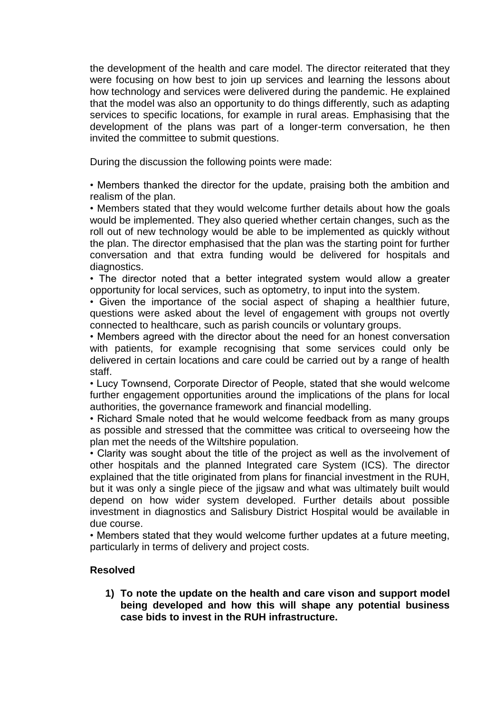the development of the health and care model. The director reiterated that they were focusing on how best to join up services and learning the lessons about how technology and services were delivered during the pandemic. He explained that the model was also an opportunity to do things differently, such as adapting services to specific locations, for example in rural areas. Emphasising that the development of the plans was part of a longer-term conversation, he then invited the committee to submit questions.

During the discussion the following points were made:

• Members thanked the director for the update, praising both the ambition and realism of the plan.

• Members stated that they would welcome further details about how the goals would be implemented. They also queried whether certain changes, such as the roll out of new technology would be able to be implemented as quickly without the plan. The director emphasised that the plan was the starting point for further conversation and that extra funding would be delivered for hospitals and diagnostics.

• The director noted that a better integrated system would allow a greater opportunity for local services, such as optometry, to input into the system.

• Given the importance of the social aspect of shaping a healthier future, questions were asked about the level of engagement with groups not overtly connected to healthcare, such as parish councils or voluntary groups.

• Members agreed with the director about the need for an honest conversation with patients, for example recognising that some services could only be delivered in certain locations and care could be carried out by a range of health staff.

• Lucy Townsend, Corporate Director of People, stated that she would welcome further engagement opportunities around the implications of the plans for local authorities, the governance framework and financial modelling.

• Richard Smale noted that he would welcome feedback from as many groups as possible and stressed that the committee was critical to overseeing how the plan met the needs of the Wiltshire population.

• Clarity was sought about the title of the project as well as the involvement of other hospitals and the planned Integrated care System (ICS). The director explained that the title originated from plans for financial investment in the RUH, but it was only a single piece of the jigsaw and what was ultimately built would depend on how wider system developed. Further details about possible investment in diagnostics and Salisbury District Hospital would be available in due course.

• Members stated that they would welcome further updates at a future meeting, particularly in terms of delivery and project costs.

## **Resolved**

**1) To note the update on the health and care vison and support model being developed and how this will shape any potential business case bids to invest in the RUH infrastructure.**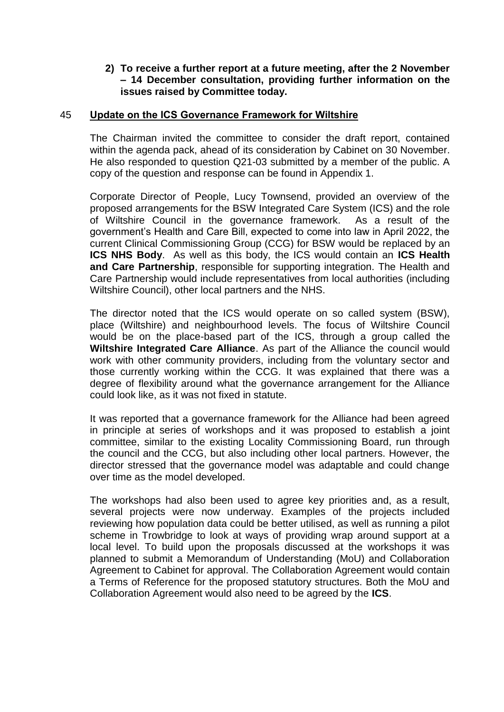## **2) To receive a further report at a future meeting, after the 2 November – 14 December consultation, providing further information on the issues raised by Committee today.**

#### 45 **Update on the ICS Governance Framework for Wiltshire**

The Chairman invited the committee to consider the draft report, contained within the agenda pack, ahead of its consideration by Cabinet on 30 November. He also responded to question Q21-03 submitted by a member of the public. A copy of the question and response can be found in Appendix 1.

Corporate Director of People, Lucy Townsend, provided an overview of the proposed arrangements for the BSW Integrated Care System (ICS) and the role of Wiltshire Council in the governance framework. As a result of the government's Health and Care Bill, expected to come into law in April 2022, the current Clinical Commissioning Group (CCG) for BSW would be replaced by an **ICS NHS Body**. As well as this body, the ICS would contain an **ICS Health and Care Partnership**, responsible for supporting integration. The Health and Care Partnership would include representatives from local authorities (including Wiltshire Council), other local partners and the NHS.

The director noted that the ICS would operate on so called system (BSW), place (Wiltshire) and neighbourhood levels. The focus of Wiltshire Council would be on the place-based part of the ICS, through a group called the **Wiltshire Integrated Care Alliance**. As part of the Alliance the council would work with other community providers, including from the voluntary sector and those currently working within the CCG. It was explained that there was a degree of flexibility around what the governance arrangement for the Alliance could look like, as it was not fixed in statute.

It was reported that a governance framework for the Alliance had been agreed in principle at series of workshops and it was proposed to establish a joint committee, similar to the existing Locality Commissioning Board, run through the council and the CCG, but also including other local partners. However, the director stressed that the governance model was adaptable and could change over time as the model developed.

The workshops had also been used to agree key priorities and, as a result, several projects were now underway. Examples of the projects included reviewing how population data could be better utilised, as well as running a pilot scheme in Trowbridge to look at ways of providing wrap around support at a local level. To build upon the proposals discussed at the workshops it was planned to submit a Memorandum of Understanding (MoU) and Collaboration Agreement to Cabinet for approval. The Collaboration Agreement would contain a Terms of Reference for the proposed statutory structures. Both the MoU and Collaboration Agreement would also need to be agreed by the **ICS**.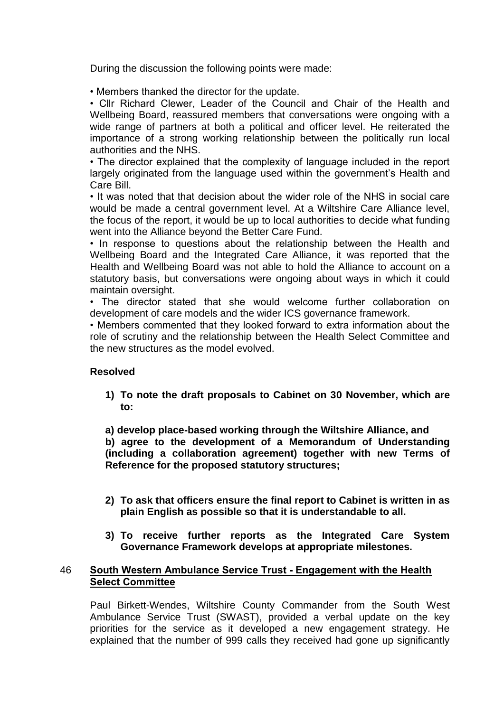During the discussion the following points were made:

• Members thanked the director for the update.

• Cllr Richard Clewer, Leader of the Council and Chair of the Health and Wellbeing Board, reassured members that conversations were ongoing with a wide range of partners at both a political and officer level. He reiterated the importance of a strong working relationship between the politically run local authorities and the NHS.

• The director explained that the complexity of language included in the report largely originated from the language used within the government's Health and Care Bill.

• It was noted that that decision about the wider role of the NHS in social care would be made a central government level. At a Wiltshire Care Alliance level, the focus of the report, it would be up to local authorities to decide what funding went into the Alliance beyond the Better Care Fund.

• In response to questions about the relationship between the Health and Wellbeing Board and the Integrated Care Alliance, it was reported that the Health and Wellbeing Board was not able to hold the Alliance to account on a statutory basis, but conversations were ongoing about ways in which it could maintain oversight.

• The director stated that she would welcome further collaboration on development of care models and the wider ICS governance framework.

• Members commented that they looked forward to extra information about the role of scrutiny and the relationship between the Health Select Committee and the new structures as the model evolved.

## **Resolved**

**1) To note the draft proposals to Cabinet on 30 November, which are to:**

**a) develop place-based working through the Wiltshire Alliance, and b) agree to the development of a Memorandum of Understanding (including a collaboration agreement) together with new Terms of Reference for the proposed statutory structures;**

- **2) To ask that officers ensure the final report to Cabinet is written in as plain English as possible so that it is understandable to all.**
- **3) To receive further reports as the Integrated Care System Governance Framework develops at appropriate milestones.**

## 46 **South Western Ambulance Service Trust - Engagement with the Health Select Committee**

Paul Birkett-Wendes, Wiltshire County Commander from the South West Ambulance Service Trust (SWAST), provided a verbal update on the key priorities for the service as it developed a new engagement strategy. He explained that the number of 999 calls they received had gone up significantly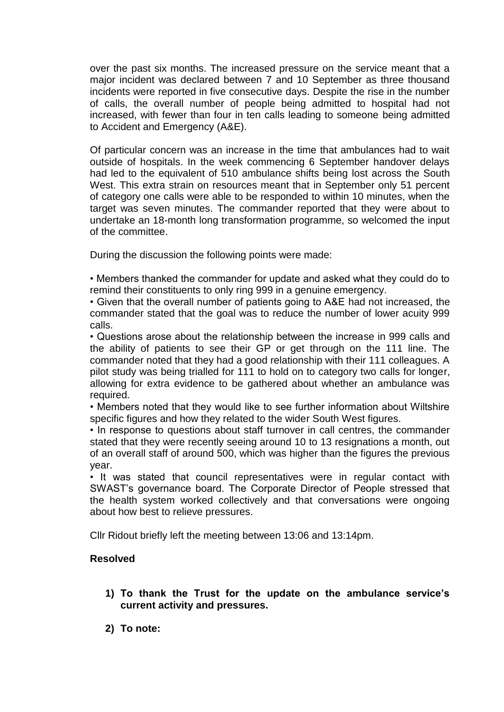over the past six months. The increased pressure on the service meant that a major incident was declared between 7 and 10 September as three thousand incidents were reported in five consecutive days. Despite the rise in the number of calls, the overall number of people being admitted to hospital had not increased, with fewer than four in ten calls leading to someone being admitted to Accident and Emergency (A&E).

Of particular concern was an increase in the time that ambulances had to wait outside of hospitals. In the week commencing 6 September handover delays had led to the equivalent of 510 ambulance shifts being lost across the South West. This extra strain on resources meant that in September only 51 percent of category one calls were able to be responded to within 10 minutes, when the target was seven minutes. The commander reported that they were about to undertake an 18-month long transformation programme, so welcomed the input of the committee.

During the discussion the following points were made:

• Members thanked the commander for update and asked what they could do to remind their constituents to only ring 999 in a genuine emergency.

• Given that the overall number of patients going to A&E had not increased, the commander stated that the goal was to reduce the number of lower acuity 999 calls.

• Questions arose about the relationship between the increase in 999 calls and the ability of patients to see their GP or get through on the 111 line. The commander noted that they had a good relationship with their 111 colleagues. A pilot study was being trialled for 111 to hold on to category two calls for longer, allowing for extra evidence to be gathered about whether an ambulance was required.

• Members noted that they would like to see further information about Wiltshire specific figures and how they related to the wider South West figures.

• In response to questions about staff turnover in call centres, the commander stated that they were recently seeing around 10 to 13 resignations a month, out of an overall staff of around 500, which was higher than the figures the previous year.

• It was stated that council representatives were in regular contact with SWAST's governance board. The Corporate Director of People stressed that the health system worked collectively and that conversations were ongoing about how best to relieve pressures.

Cllr Ridout briefly left the meeting between 13:06 and 13:14pm.

## **Resolved**

- **1) To thank the Trust for the update on the ambulance service's current activity and pressures.**
- **2) To note:**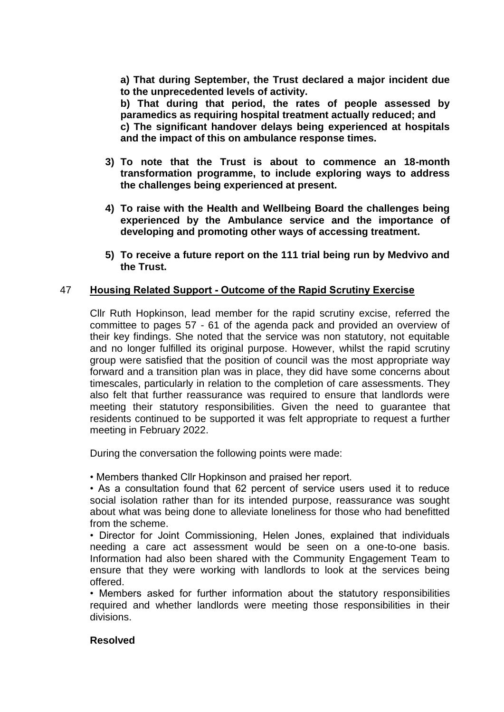**a) That during September, the Trust declared a major incident due to the unprecedented levels of activity.**

**b) That during that period, the rates of people assessed by paramedics as requiring hospital treatment actually reduced; and c) The significant handover delays being experienced at hospitals and the impact of this on ambulance response times.**

- **3) To note that the Trust is about to commence an 18-month transformation programme, to include exploring ways to address the challenges being experienced at present.**
- **4) To raise with the Health and Wellbeing Board the challenges being experienced by the Ambulance service and the importance of developing and promoting other ways of accessing treatment.**
- **5) To receive a future report on the 111 trial being run by Medvivo and the Trust.**

# 47 **Housing Related Support - Outcome of the Rapid Scrutiny Exercise**

Cllr Ruth Hopkinson, lead member for the rapid scrutiny excise, referred the committee to pages 57 - 61 of the agenda pack and provided an overview of their key findings. She noted that the service was non statutory, not equitable and no longer fulfilled its original purpose. However, whilst the rapid scrutiny group were satisfied that the position of council was the most appropriate way forward and a transition plan was in place, they did have some concerns about timescales, particularly in relation to the completion of care assessments. They also felt that further reassurance was required to ensure that landlords were meeting their statutory responsibilities. Given the need to guarantee that residents continued to be supported it was felt appropriate to request a further meeting in February 2022.

During the conversation the following points were made:

• Members thanked Cllr Hopkinson and praised her report.

• As a consultation found that 62 percent of service users used it to reduce social isolation rather than for its intended purpose, reassurance was sought about what was being done to alleviate loneliness for those who had benefitted from the scheme.

• Director for Joint Commissioning, Helen Jones, explained that individuals needing a care act assessment would be seen on a one-to-one basis. Information had also been shared with the Community Engagement Team to ensure that they were working with landlords to look at the services being offered.

• Members asked for further information about the statutory responsibilities required and whether landlords were meeting those responsibilities in their divisions.

## **Resolved**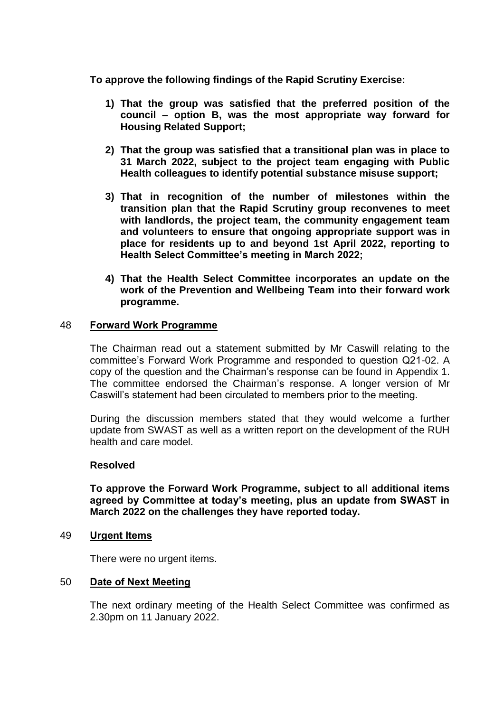**To approve the following findings of the Rapid Scrutiny Exercise:**

- **1) That the group was satisfied that the preferred position of the council – option B, was the most appropriate way forward for Housing Related Support;**
- **2) That the group was satisfied that a transitional plan was in place to 31 March 2022, subject to the project team engaging with Public Health colleagues to identify potential substance misuse support;**
- **3) That in recognition of the number of milestones within the transition plan that the Rapid Scrutiny group reconvenes to meet with landlords, the project team, the community engagement team and volunteers to ensure that ongoing appropriate support was in place for residents up to and beyond 1st April 2022, reporting to Health Select Committee's meeting in March 2022;**
- **4) That the Health Select Committee incorporates an update on the work of the Prevention and Wellbeing Team into their forward work programme.**

#### 48 **Forward Work Programme**

The Chairman read out a statement submitted by Mr Caswill relating to the committee's Forward Work Programme and responded to question Q21-02. A copy of the question and the Chairman's response can be found in Appendix 1. The committee endorsed the Chairman's response. A longer version of Mr Caswill's statement had been circulated to members prior to the meeting.

During the discussion members stated that they would welcome a further update from SWAST as well as a written report on the development of the RUH health and care model.

#### **Resolved**

**To approve the Forward Work Programme, subject to all additional items agreed by Committee at today's meeting, plus an update from SWAST in March 2022 on the challenges they have reported today.**

49 **Urgent Items**

There were no urgent items.

## 50 **Date of Next Meeting**

The next ordinary meeting of the Health Select Committee was confirmed as 2.30pm on 11 January 2022.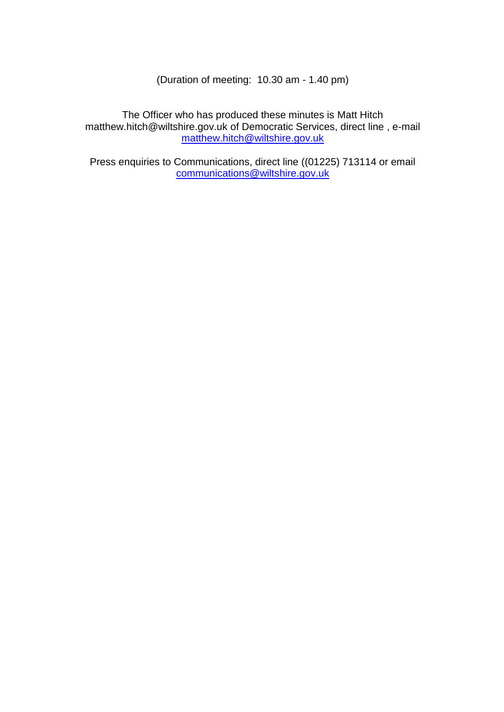(Duration of meeting: 10.30 am - 1.40 pm)

The Officer who has produced these minutes is Matt Hitch matthew.hitch@wiltshire.gov.uk of Democratic Services, direct line, e-mail matthew.hitch@wiltshire.gov.uk

Press enquiries to Communications, direct line ((01225) 713114 or email [communications@wiltshire.gov.uk](mailto:communications@wiltshire.gov.uk)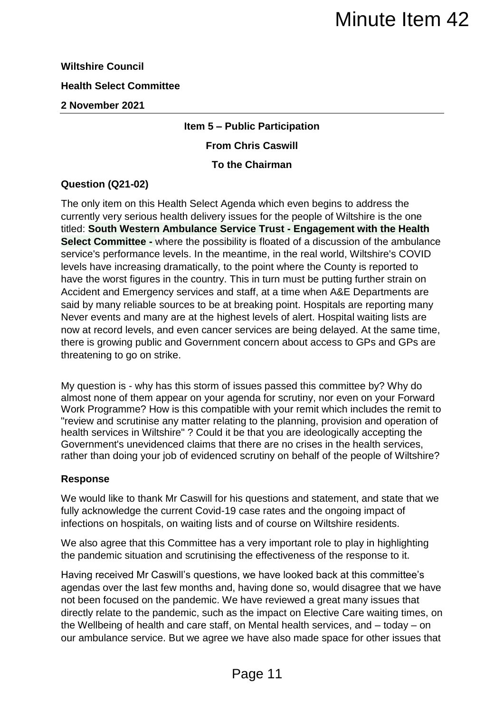# **Wiltshire Council Health Select Committee 2 November 2021**

# **Item 5 – Public Participation**

# **From Chris Caswill**

# **To the Chairman**

# **Question (Q21-02)**

The only item on this Health Select Agenda which even begins to address the currently very serious health delivery issues for the people of Wiltshire is the one titled: **South Western Ambulance Service Trust - Engagement with the Health Select Committee -** where the possibility is floated of a discussion of the ambulance service's performance levels. In the meantime, in the real world, Wiltshire's COVID levels have increasing dramatically, to the point where the County is reported to have the worst figures in the country. This in turn must be putting further strain on Accident and Emergency services and staff, at a time when A&E Departments are said by many reliable sources to be at breaking point. Hospitals are reporting many Never events and many are at the highest levels of alert. Hospital waiting lists are now at record levels, and even cancer services are being delayed. At the same time, there is growing public and Government concern about access to GPs and GPs are threatening to go on strike. Minute Item 42<br>
Whice Participation<br>
Undic Participation<br>
Chris Caswill<br>
the Chairman<br>
enda which even begins to address the<br>
sesues for the people of Willshire is the one<br>
sesues for the people of Willshire is the one<br>
ti

My question is - why has this storm of issues passed this committee by? Why do almost none of them appear on your agenda for scrutiny, nor even on your Forward Work Programme? How is this compatible with your remit which includes the remit to "review and scrutinise any matter relating to the planning, provision and operation of health services in Wiltshire" ? Could it be that you are ideologically accepting the Government's unevidenced claims that there are no crises in the health services, rather than doing your job of evidenced scrutiny on behalf of the people of Wiltshire?

# **Response**

We would like to thank Mr Caswill for his questions and statement, and state that we fully acknowledge the current Covid-19 case rates and the ongoing impact of infections on hospitals, on waiting lists and of course on Wiltshire residents.

We also agree that this Committee has a very important role to play in highlighting the pandemic situation and scrutinising the effectiveness of the response to it.

Having received Mr Caswill's questions, we have looked back at this committee's agendas over the last few months and, having done so, would disagree that we have not been focused on the pandemic. We have reviewed a great many issues that directly relate to the pandemic, such as the impact on Elective Care waiting times, on the Wellbeing of health and care staff, on Mental health services, and – today – on our ambulance service. But we agree we have also made space for other issues that